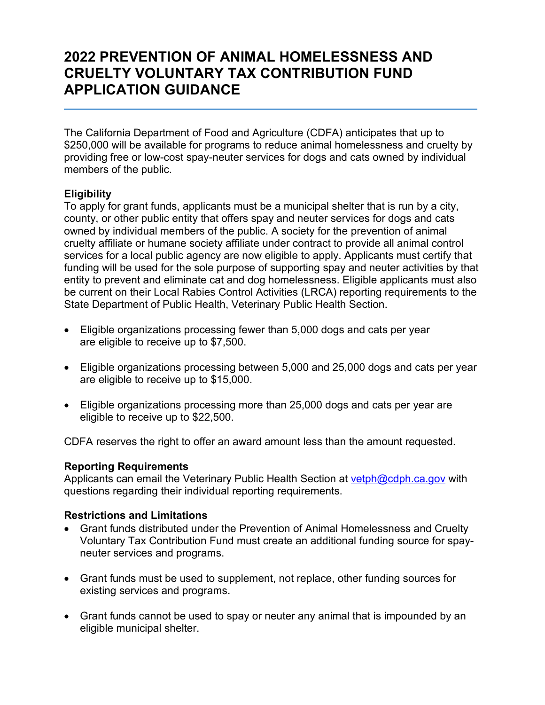# **2022 PREVENTION OF ANIMAL HOMELESSNESS AND CRUELTY VOLUNTARY TAX CONTRIBUTION FUND APPLICATION GUIDANCE**

The California Department of Food and Agriculture (CDFA) anticipates that up to \$250,000 will be available for programs to reduce animal homelessness and cruelty by providing free or low-cost spay-neuter services for dogs and cats owned by individual members of the public.

### **Eligibility**

To apply for grant funds, applicants must be a municipal shelter that is run by a city, county, or other public entity that offers spay and neuter services for dogs and cats owned by individual members of the public. A society for the prevention of animal cruelty affiliate or humane society affiliate under contract to provide all animal control services for a local public agency are now eligible to apply. Applicants must certify that funding will be used for the sole purpose of supporting spay and neuter activities by that entity to prevent and eliminate cat and dog homelessness. Eligible applicants must also be current on their Local Rabies Control Activities (LRCA) reporting requirements to the State Department of Public Health, Veterinary Public Health Section.

- Eligible organizations processing fewer than 5,000 dogs and cats per year are eligible to receive up to \$7,500.
- Eligible organizations processing between 5,000 and 25,000 dogs and cats per year are eligible to receive up to \$15,000.
- Eligible organizations processing more than 25,000 dogs and cats per year are eligible to receive up to \$22,500.

CDFA reserves the right to offer an award amount less than the amount requested.

#### **Reporting Requirements**

Applicants can email the Veterinary Public Health Section at [vetph@cdph.ca.gov](mailto:vetph@cdph.ca.gov) with questions regarding their individual reporting requirements.

#### **Restrictions and Limitations**

- Grant funds distributed under the Prevention of Animal Homelessness and Cruelty Voluntary Tax Contribution Fund must create an additional funding source for spayneuter services and programs.
- Grant funds must be used to supplement, not replace, other funding sources for existing services and programs.
- Grant funds cannot be used to spay or neuter any animal that is impounded by an eligible municipal shelter.